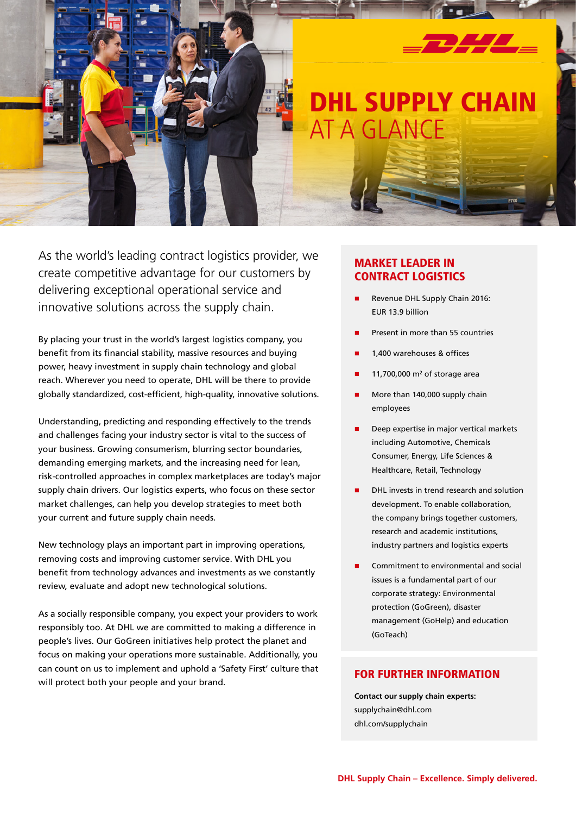

As the world's leading contract logistics provider, we create competitive advantage for our customers by delivering exceptional operational service and innovative solutions across the supply chain.

By placing your trust in the world's largest logistics company, you benefit from its financial stability, massive resources and buying power, heavy investment in supply chain technology and global reach. Wherever you need to operate, DHL will be there to provide globally standardized, cost-efficient, high-quality, innovative solutions.

Understanding, predicting and responding effectively to the trends and challenges facing your industry sector is vital to the success of your business. Growing consumerism, blurring sector boundaries, demanding emerging markets, and the increasing need for lean, risk-controlled approaches in complex marketplaces are today's major supply chain drivers. Our logistics experts, who focus on these sector market challenges, can help you develop strategies to meet both your current and future supply chain needs.

New technology plays an important part in improving operations, removing costs and improving customer service. With DHL you benefit from technology advances and investments as we constantly review, evaluate and adopt new technological solutions.

As a socially responsible company, you expect your providers to work responsibly too. At DHL we are committed to making a difference in people's lives. Our GoGreen initiatives help protect the planet and focus on making your operations more sustainable. Additionally, you can count on us to implement and uphold a 'Safety First' culture that will protect both your people and your brand.

# Market leader in Contract logistics

- Revenue DHL Supply Chain 2016: EUR 13.9 billion
- Present in more than 55 countries
- 1,400 warehouses & offices
- 11,700,000  $m<sup>2</sup>$  of storage area
- More than 140,000 supply chain employees
- Deep expertise in major vertical markets including Automotive, Chemicals Consumer, Energy, Life Sciences & Healthcare, Retail, Technology
- DHL invests in trend research and solution development. To enable collaboration, the company brings together customers, research and academic institutions, industry partners and logistics experts
- Commitment to environmental and social issues is a fundamental part of our corporate strategy: Environmental protection (GoGreen), disaster management (GoHelp) and education (GoTeach)

## For further information

**Contact our supply chain experts:** supplychain@dhl.com dhl.com/supplychain